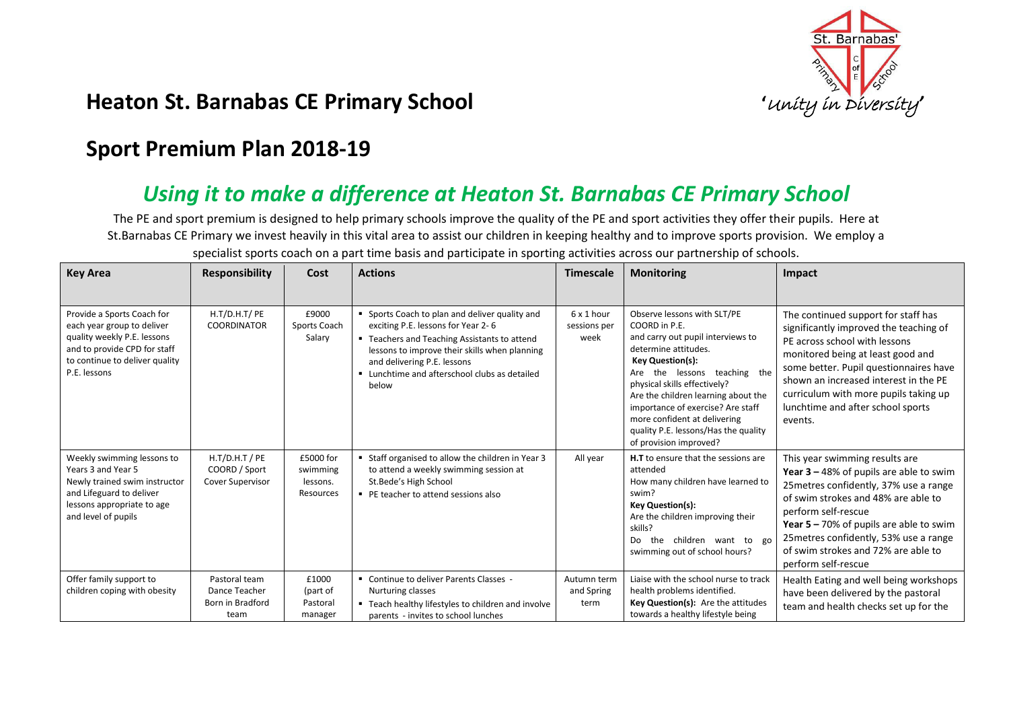

## **Heaton St. Barnabas CE Primary School** *intersity* **in Diversity<sup></sup></del>**

## **Sport Premium Plan 2018-19**

## *Using it to make a difference at Heaton St. Barnabas CE Primary School*

The PE and sport premium is designed to help primary schools improve the quality of the PE and sport activities they offer their pupils. Here at St.Barnabas CE Primary we invest heavily in this vital area to assist our children in keeping healthy and to improve sports provision. We employ a

| <b>Key Area</b>                                                                                                                                                           | <b>Responsibility</b>                                        | Cost                                           | <b>Actions</b>                                                                                                                                                                                                                                                               | <b>Timescale</b>                   | <b>Monitoring</b>                                                                                                                                                                                                                                                                                                                                                                  | Impact                                                                                                                                                                                                                                                                                                                                    |
|---------------------------------------------------------------------------------------------------------------------------------------------------------------------------|--------------------------------------------------------------|------------------------------------------------|------------------------------------------------------------------------------------------------------------------------------------------------------------------------------------------------------------------------------------------------------------------------------|------------------------------------|------------------------------------------------------------------------------------------------------------------------------------------------------------------------------------------------------------------------------------------------------------------------------------------------------------------------------------------------------------------------------------|-------------------------------------------------------------------------------------------------------------------------------------------------------------------------------------------------------------------------------------------------------------------------------------------------------------------------------------------|
| Provide a Sports Coach for<br>each year group to deliver<br>quality weekly P.E. lessons<br>and to provide CPD for staff<br>to continue to deliver quality<br>P.E. lessons | H.T/D.H.T/ PE<br><b>COORDINATOR</b>                          | £9000<br>Sports Coach<br>Salary                | " Sports Coach to plan and deliver quality and<br>exciting P.E. lessons for Year 2-6<br>■ Teachers and Teaching Assistants to attend<br>lessons to improve their skills when planning<br>and delivering P.E. lessons<br>Lunchtime and afterschool clubs as detailed<br>below | 6 x 1 hour<br>sessions per<br>week | Observe lessons with SLT/PE<br>COORD in P.E.<br>and carry out pupil interviews to<br>determine attitudes.<br><b>Key Question(s):</b><br>Are the lessons teaching the<br>physical skills effectively?<br>Are the children learning about the<br>importance of exercise? Are staff<br>more confident at delivering<br>quality P.E. lessons/Has the quality<br>of provision improved? | The continued support for staff has<br>significantly improved the teaching of<br>PE across school with lessons<br>monitored being at least good and<br>some better. Pupil questionnaires have<br>shown an increased interest in the PE<br>curriculum with more pupils taking up<br>lunchtime and after school sports<br>events.           |
| Weekly swimming lessons to<br>Years 3 and Year 5<br>Newly trained swim instructor<br>and Lifeguard to deliver<br>lessons appropriate to age<br>and level of pupils        | $H.T/D.H.T$ / PE<br>COORD / Sport<br><b>Cover Supervisor</b> | £5000 for<br>swimming<br>lessons.<br>Resources | " Staff organised to allow the children in Year 3<br>to attend a weekly swimming session at<br>St.Bede's High School<br>■ PE teacher to attend sessions also                                                                                                                 | All year                           | <b>H.T</b> to ensure that the sessions are<br>attended<br>How many children have learned to<br>swim?<br><b>Key Question(s):</b><br>Are the children improving their<br>skills?<br>the children want to go<br>Do<br>swimming out of school hours?                                                                                                                                   | This year swimming results are<br>Year $3 - 48%$ of pupils are able to swim<br>25 metres confidently, 37% use a range<br>of swim strokes and 48% are able to<br>perform self-rescue<br>Year $5 - 70\%$ of pupils are able to swim<br>25 metres confidently, 53% use a range<br>of swim strokes and 72% are able to<br>perform self-rescue |
| Offer family support to<br>children coping with obesity                                                                                                                   | Pastoral team<br>Dance Teacher<br>Born in Bradford<br>team   | £1000<br>(part of<br>Pastoral<br>manager       | " Continue to deliver Parents Classes -<br>Nurturing classes<br>" Teach healthy lifestyles to children and involve<br>parents - invites to school lunches                                                                                                                    | Autumn term<br>and Spring<br>term  | Liaise with the school nurse to track<br>health problems identified.<br>Key Question(s): Are the attitudes<br>towards a healthy lifestyle being                                                                                                                                                                                                                                    | Health Eating and well being workshops<br>have been delivered by the pastoral<br>team and health checks set up for the                                                                                                                                                                                                                    |

specialist sports coach on a part time basis and participate in sporting activities across our partnership of schools.